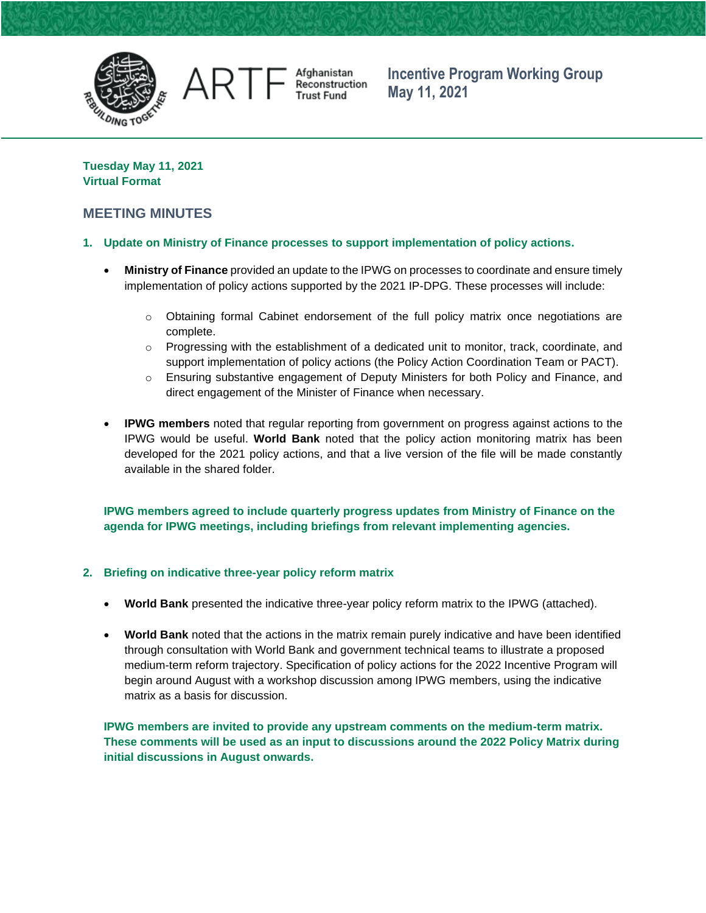

Afghanistan<br>Reconstruction **Trust Fund** 

**Incentive Program Working Group May 11, 2021**

**Tuesday May 11, 2021 Virtual Format**

ART

# **MEETING MINUTES**

## **1. Update on Ministry of Finance processes to support implementation of policy actions.**

- **Ministry of Finance** provided an update to the IPWG on processes to coordinate and ensure timely implementation of policy actions supported by the 2021 IP-DPG. These processes will include:
	- $\circ$  Obtaining formal Cabinet endorsement of the full policy matrix once negotiations are complete.
	- $\circ$  Progressing with the establishment of a dedicated unit to monitor, track, coordinate, and support implementation of policy actions (the Policy Action Coordination Team or PACT).
	- $\circ$  Ensuring substantive engagement of Deputy Ministers for both Policy and Finance, and direct engagement of the Minister of Finance when necessary.
- **IPWG members** noted that regular reporting from government on progress against actions to the IPWG would be useful. **World Bank** noted that the policy action monitoring matrix has been developed for the 2021 policy actions, and that a live version of the file will be made constantly available in the shared folder.

**IPWG members agreed to include quarterly progress updates from Ministry of Finance on the agenda for IPWG meetings, including briefings from relevant implementing agencies.**

## **2. Briefing on indicative three-year policy reform matrix**

- **World Bank** presented the indicative three-year policy reform matrix to the IPWG (attached).
- **World Bank** noted that the actions in the matrix remain purely indicative and have been identified through consultation with World Bank and government technical teams to illustrate a proposed medium-term reform trajectory. Specification of policy actions for the 2022 Incentive Program will begin around August with a workshop discussion among IPWG members, using the indicative matrix as a basis for discussion.

**IPWG members are invited to provide any upstream comments on the medium-term matrix. These comments will be used as an input to discussions around the 2022 Policy Matrix during initial discussions in August onwards.**